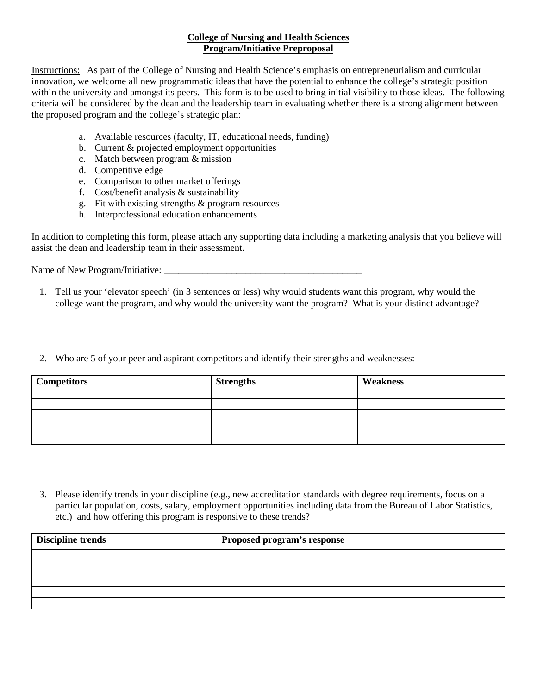## **College of Nursing and Health Sciences Program/Initiative Preproposal**

Instructions: As part of the College of Nursing and Health Science's emphasis on entrepreneurialism and curricular innovation, we welcome all new programmatic ideas that have the potential to enhance the college's strategic position within the university and amongst its peers. This form is to be used to bring initial visibility to those ideas. The following criteria will be considered by the dean and the leadership team in evaluating whether there is a strong alignment between the proposed program and the college's strategic plan:

- a. Available resources (faculty, IT, educational needs, funding)
- b. Current & projected employment opportunities
- c. Match between program & mission
- d. Competitive edge
- e. Comparison to other market offerings
- f. Cost/benefit analysis & sustainability
- g. Fit with existing strengths & program resources
- h. Interprofessional education enhancements

In addition to completing this form, please attach any supporting data including a marketing analysis that you believe will assist the dean and leadership team in their assessment.

Name of New Program/Initiative: \_\_\_\_\_\_\_\_\_\_\_\_\_\_\_\_\_\_\_\_\_\_\_\_\_\_\_\_\_\_\_\_\_\_\_\_\_\_\_\_\_

- 1. Tell us your 'elevator speech' (in 3 sentences or less) why would students want this program, why would the college want the program, and why would the university want the program? What is your distinct advantage?
- 2. Who are 5 of your peer and aspirant competitors and identify their strengths and weaknesses:

| <b>Competitors</b> | <b>Strengths</b> | Weakness |
|--------------------|------------------|----------|
|                    |                  |          |
|                    |                  |          |
|                    |                  |          |
|                    |                  |          |
|                    |                  |          |

3. Please identify trends in your discipline (e.g., new accreditation standards with degree requirements, focus on a particular population, costs, salary, employment opportunities including data from the Bureau of Labor Statistics, etc.) and how offering this program is responsive to these trends?

| <b>Discipline trends</b> | Proposed program's response |  |  |
|--------------------------|-----------------------------|--|--|
|                          |                             |  |  |
|                          |                             |  |  |
|                          |                             |  |  |
|                          |                             |  |  |
|                          |                             |  |  |